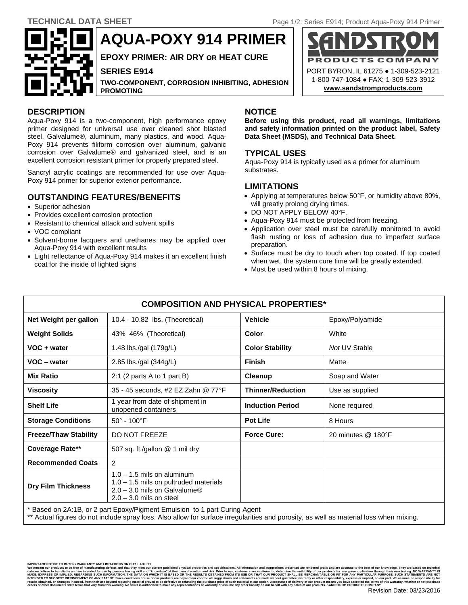PORT BYRON, IL 61275 ● 1-309-523-2121 1-800-747-1084 ● FAX: 1-309-523-3912 **[www.sandstromproducts.com](file:///C:/Documents%20and%20Settings/Nicole/Desktop/TDS/www.sandstromproducts.com)**

COMPA



**AQUA-POXY 914 PRIMER**

**EPOXY PRIMER: AIR DRY OR HEAT CURE**

**SERIES E914**

**TWO-COMPONENT, CORROSION INHIBITING, ADHESION PROMOTING** 

# **DESCRIPTION NOTICE**

Aqua-Poxy 914 is a two-component, high performance epoxy primer designed for universal use over cleaned shot blasted steel, Galvalume®, aluminum, many plastics, and wood. Aqua-Poxy 914 prevents filiform corrosion over aluminum, galvanic corrosion over Galvalume® and galvanized steel, and is an excellent corrosion resistant primer for properly prepared steel.

Sancryl acrylic coatings are recommended for use over Aqua-Poxy 914 primer for superior exterior performance.

# **OUTSTANDING FEATURES/BENEFITS**

- Superior adhesion
- Provides excellent corrosion protection
- Resistant to chemical attack and solvent spills
- VOC compliant
- Solvent-borne lacquers and urethanes may be applied over Aqua-Poxy 914 with excellent results
- Light reflectance of Aqua-Poxy 914 makes it an excellent finish coat for the inside of lighted signs

**Before using this product, read all warnings, limitations and safety information printed on the product label, Safety Data Sheet (MSDS), and Technical Data Sheet.**

RODUCTS

# **TYPICAL USES**

Aqua-Poxy 914 is typically used as a primer for aluminum substrates.

# **LIMITATIONS**

- Applying at temperatures below 50°F, or humidity above 80%, will greatly prolong drying times.
- DO NOT APPLY BELOW 40°F.
- Aqua-Poxy 914 must be protected from freezing.
- Application over steel must be carefully monitored to avoid flash rusting or loss of adhesion due to imperfect surface preparation.
- Surface must be dry to touch when top coated. If top coated when wet, the system cure time will be greatly extended.
- Must be used within 8 hours of mixing.

| <b>COMPOSITION AND PHYSICAL PROPERTIES*</b> |                                                                                                                                                    |                          |                    |
|---------------------------------------------|----------------------------------------------------------------------------------------------------------------------------------------------------|--------------------------|--------------------|
| Net Weight per gallon                       | 10.4 - 10.82 lbs. (Theoretical)                                                                                                                    | <b>Vehicle</b>           | Epoxy/Polyamide    |
| <b>Weight Solids</b>                        | 43% 46% (Theoretical)                                                                                                                              | Color                    | White              |
| VOC + water                                 | 1.48 lbs./gal $(179g/L)$                                                                                                                           | <b>Color Stability</b>   | Not UV Stable      |
| VOC - water                                 | 2.85 lbs./gal (344g/L)                                                                                                                             | <b>Finish</b>            | Matte              |
| <b>Mix Ratio</b>                            | 2:1 (2 parts A to 1 part B)                                                                                                                        | Cleanup                  | Soap and Water     |
| <b>Viscosity</b>                            | 35 - 45 seconds, #2 EZ Zahn @ 77°F                                                                                                                 | <b>Thinner/Reduction</b> | Use as supplied    |
| <b>Shelf Life</b>                           | 1 year from date of shipment in<br>unopened containers                                                                                             | <b>Induction Period</b>  | None required      |
| <b>Storage Conditions</b>                   | $50^{\circ}$ - 100 $^{\circ}$ F                                                                                                                    | <b>Pot Life</b>          | 8 Hours            |
| <b>Freeze/Thaw Stability</b>                | <b>DO NOT FREEZE</b>                                                                                                                               | <b>Force Cure:</b>       | 20 minutes @ 180°F |
| Coverage Rate**                             | 507 sq. ft./gallon @ 1 mil dry                                                                                                                     |                          |                    |
| <b>Recommended Coats</b>                    | $\overline{2}$                                                                                                                                     |                          |                    |
| <b>Dry Film Thickness</b>                   | $1.0 - 1.5$ mils on aluminum<br>$1.0 - 1.5$ mils on pultruded materials<br>$2.0 - 3.0$ mils on Galvalume <sup>®</sup><br>$2.0 - 3.0$ mils on steel |                          |                    |

\* Based on 2A:1B, or 2 part Epoxy/Pigment Emulsion to 1 part Curing Agent

\*\* Actual figures do not include spray loss. Also allow for surface irregularities and porosity, as well as material loss when mixing.

We warrant our products to be free of manufacturing defects and that they meet our current published physical properties and specifications. All information and suggestions presented are rendered gratis and are accurate to data we believe to be reliable and are intended for use by persons having skill and "know-how" at their own discretion and risk. Prior to use, customers are cautioned to determine the suitability of our products for any gi ARE INTERNATION ANT PARTICULAR PURPOSE. SUCH STATEMENTS ARE<br>prother responsibility, express or implied, on our part. We assume no responsibility<br>product means you have accepted the terms of this warranty, whether or not pu orders of other documents state terms that vary from this warning. No seller is authorized to make any representations or warranty or assume any other liability on our behalf with any sales of our products. SANDSTROM PRODU

**IMPORTANT NOTICE TO BUYER / WARRANTY AND LIMITATIONS ON OUR LIABILITY**